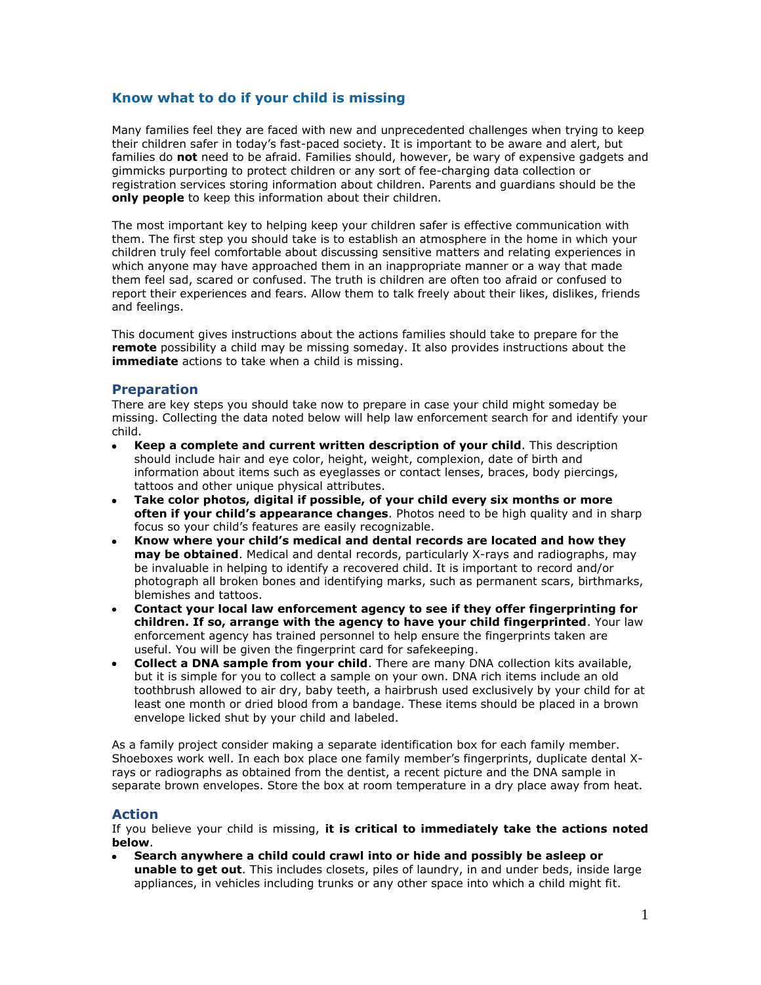## **Know what to do if your child is missing**

Many families feel they are faced with new and unprecedented challenges when trying to keep their children safer in today's fast-paced society. It is important to be aware and alert, but families do **not** need to be afraid. Families should, however, be wary of expensive gadgets and gimmicks purporting to protect children or any sort of fee-charging data collection or registration services storing information about children. Parents and guardians should be the **only people** to keep this information about their children.

The most important key to helping keep your children safer is effective communication with them. The first step you should take is to establish an atmosphere in the home in which your children truly feel comfortable about discussing sensitive matters and relating experiences in which anyone may have approached them in an inappropriate manner or a way that made them feel sad, scared or confused. The truth is children are often too afraid or confused to report their experiences and fears. Allow them to talk freely about their likes, dislikes, friends and feelings.

This document gives instructions about the actions families should take to prepare for the **remote** possibility a child may be missing someday. It also provides instructions about the **immediate** actions to take when a child is missing.

#### **Preparation**

There are key steps you should take now to prepare in case your child might someday be missing. Collecting the data noted below will help law enforcement search for and identify your child.

- **Keep a complete and current written description of your child**. This description should include hair and eye color, height, weight, complexion, date of birth and information about items such as eyeglasses or contact lenses, braces, body piercings, tattoos and other unique physical attributes.
- **Take color photos, digital if possible, of your child every six months or more often if your child's appearance changes**. Photos need to be high quality and in sharp focus so your child's features are easily recognizable.
- **Know where your child's medical and dental records are located and how they may be obtained**. Medical and dental records, particularly X-rays and radiographs, may be invaluable in helping to identify a recovered child. It is important to record and/or photograph all broken bones and identifying marks, such as permanent scars, birthmarks, blemishes and tattoos.
- **Contact your local law enforcement agency to see if they offer fingerprinting for children. If so, arrange with the agency to have your child fingerprinted**. Your law enforcement agency has trained personnel to help ensure the fingerprints taken are useful. You will be given the fingerprint card for safekeeping.
- **Collect a DNA sample from your child**. There are many DNA collection kits available, but it is simple for you to collect a sample on your own. DNA rich items include an old toothbrush allowed to air dry, baby teeth, a hairbrush used exclusively by your child for at least one month or dried blood from a bandage. These items should be placed in a brown envelope licked shut by your child and labeled.

As a family project consider making a separate identification box for each family member. Shoeboxes work well. In each box place one family member's fingerprints, duplicate dental Xrays or radiographs as obtained from the dentist, a recent picture and the DNA sample in separate brown envelopes. Store the box at room temperature in a dry place away from heat.

### **Action**

If you believe your child is missing, **it is critical to immediately take the actions noted below**.

**Search anywhere a child could crawl into or hide and possibly be asleep or unable to get out**. This includes closets, piles of laundry, in and under beds, inside large appliances, in vehicles including trunks or any other space into which a child might fit.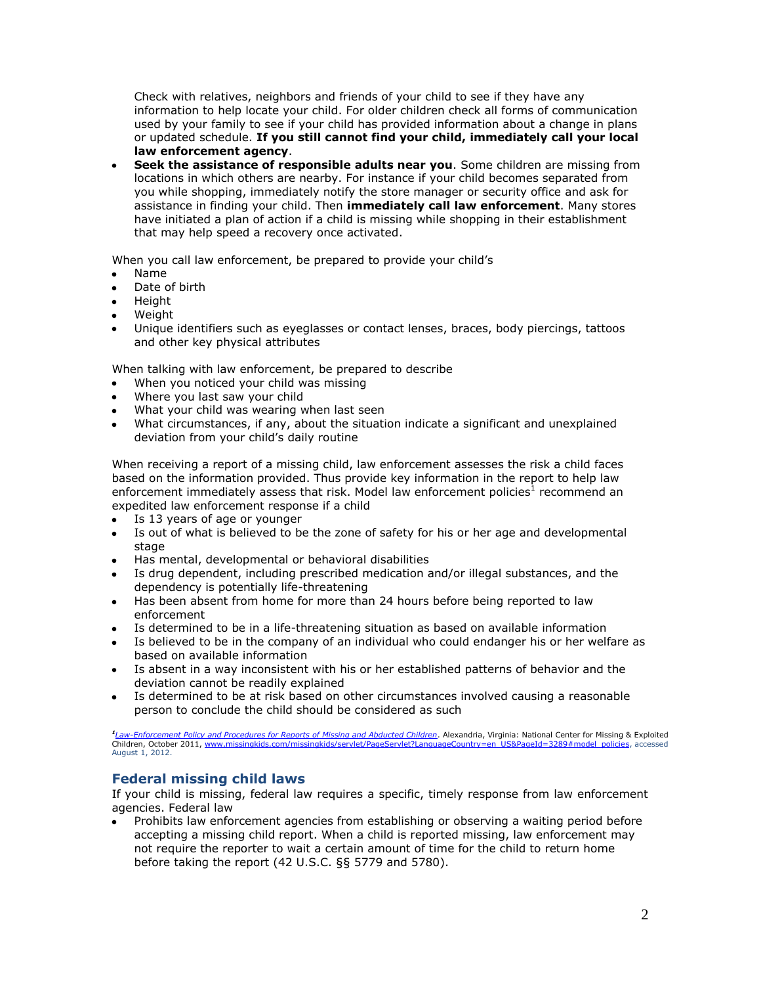Check with relatives, neighbors and friends of your child to see if they have any information to help locate your child. For older children check all forms of communication used by your family to see if your child has provided information about a change in plans or updated schedule. **If you still cannot find your child, immediately call your local law enforcement agency**.

**Seek the assistance of responsible adults near you**. Some children are missing from locations in which others are nearby. For instance if your child becomes separated from you while shopping, immediately notify the store manager or security office and ask for assistance in finding your child. Then **immediately call law enforcement**. Many stores have initiated a plan of action if a child is missing while shopping in their establishment that may help speed a recovery once activated.

When you call law enforcement, be prepared to provide your child's

- Name
- Date of birth
- Height  $\bullet$
- **Weight**
- Unique identifiers such as eyeglasses or contact lenses, braces, body piercings, tattoos and other key physical attributes

When talking with law enforcement, be prepared to describe

- When you noticed your child was missing
- Where you last saw your child
- What your child was wearing when last seen
- What circumstances, if any, about the situation indicate a significant and unexplained deviation from your child's daily routine

When receiving a report of a missing child, law enforcement assesses the risk a child faces based on the information provided. Thus provide key information in the report to help law enforcement immediately assess that risk. Model law enforcement policies<sup>1</sup> recommend an expedited law enforcement response if a child

- Is 13 years of age or younger  $\bullet$
- Is out of what is believed to be the zone of safety for his or her age and developmental stage
- Has mental, developmental or behavioral disabilities
- Is drug dependent, including prescribed medication and/or illegal substances, and the dependency is potentially life-threatening
- Has been absent from home for more than 24 hours before being reported to law enforcement
- Is determined to be in a life-threatening situation as based on available information
- Is believed to be in the company of an individual who could endanger his or her welfare as based on available information
- Is absent in a way inconsistent with his or her established patterns of behavior and the deviation cannot be readily explained
- Is determined to be at risk based on other circumstances involved causing a reasonable  $\bullet$ person to conclude the child should be considered as such

<sup>1</sup>[Law-Enforcement Policy and Procedures for Reports of Missing and Abducted Children](http://www.missingkids.com/en_US/documents/NCMEC_Model_Policy_Child.pdf)</u>. Alexandria, Virginia: National Center for Missing & Exploited<br>Children, October 2011, <u>www.missingkids.com/missingkids/servlet/PageSer</u> August 1, 2012.

# **Federal missing child laws**

If your child is missing, federal law requires a specific, timely response from law enforcement agencies. Federal law

Prohibits law enforcement agencies from establishing or observing a waiting period before accepting a missing child report. When a child is reported missing, law enforcement may not require the reporter to wait a certain amount of time for the child to return home before taking the report (42 U.S.C. §§ 5779 and 5780).